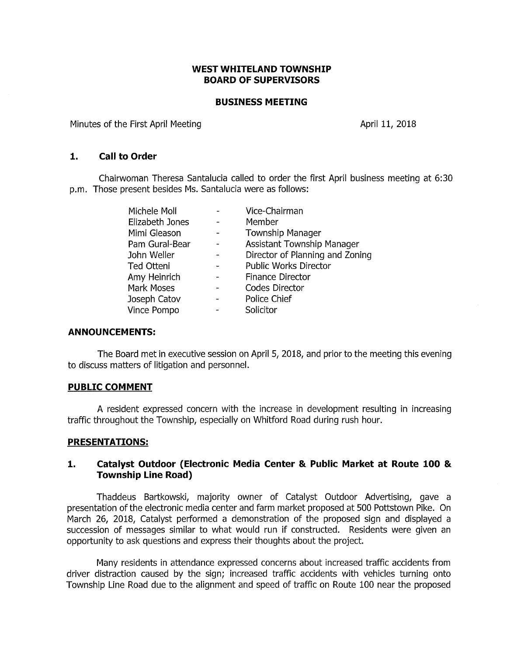## **WEST WHITELAND TOWNSHIP BOARD OF SUPERVISORS**

#### **BUSINESS MEETING**

Minutes of the First April Meeting Manuson Communication April 11, 2018

## **1. Call to Order**

Chairwoman Theresa Santalucia called to order the first April business meeting at 6:30 p.m. Those present besides Ms. Santalucia were as follows:

| Michele Moll    | Vice-Chairman                     |
|-----------------|-----------------------------------|
| Elizabeth Jones | Member                            |
| Mimi Gleason    | <b>Township Manager</b>           |
| Pam Gural-Bear  | <b>Assistant Township Manager</b> |
| John Weller     | Director of Planning and Zoning   |
| Ted Otteni      | Public Works Director             |
| Amy Heinrich    | <b>Finance Director</b>           |
| Mark Moses      | Codes Director                    |
| Joseph Catov    | Police Chief                      |
| Vince Pompo     | Solicitor                         |
|                 |                                   |

### **ANNOUNCEMENTS:**

The Board met in executive session on April 5, 2018, and prior to the meeting this evening to discuss matters of litigation and personnel.

### **PUBLIC COMMENT**

A resident expressed concern with the increase in development resulting in increasing traffic throughout the Township, especially on Whitford Road during rush hour.

### **PRESENTATIONS:**

# **1. Catalyst Outdoor (Electronic Media Center & Public Market at Route 100** & **Township Line Road)**

Thaddeus Bartkowski, majority owner of Catalyst Outdoor Advertising, gave a presentation of the electronic media center and farm market proposed at 500 Pottstown Pike. On March 26, 2018, Catalyst performed a demonstration of the proposed sign and displayed a succession of messages similar to what would run if constructed. Residents were given an opportunity to ask questions and express their thoughts about the project.

Many residents in attendance expressed concerns about increased traffic accidents from driver distraction caused by the sign; increased traffic accidents with vehicles turning onto Township Line Road due to the alignment and speed of traffic on Route 100 near the proposed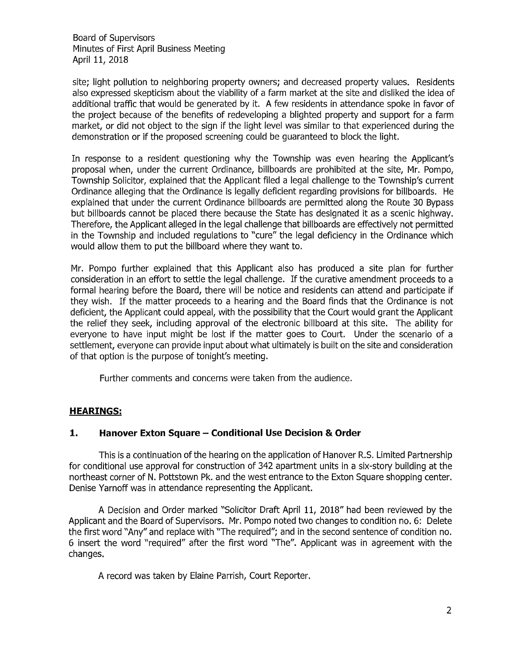Board of Supervisors Minutes of First April Business Meeting April 11, 2018

site; light pollution to neighboring property owners; and decreased property values. Residents also expressed skepticism about the viability of a farm market at the site and disliked the idea of additional traffic that would be generated by it. A few residents in attendance spoke in favor of the project because of the benefits of redeveloping a blighted property and support for a farm market, or did not object to the sign if the light level was similar to that experienced during the demonstration or if the proposed screening could be guaranteed to block the light.

In response to a resident questioning why the Township was even hearing the Applicant's proposal when, under the current Ordinance, billboards are prohibited at the site, Mr. Pompa, Township Solicitor, explained that the Applicant filed a legal challenge to the Township's current Ordinance alleging that the Ordinance is legally deficient regarding provisions for billboards. He explained that under the current Ordinance billboards are permitted along the Route 30 Bypass but billboards cannot be placed there because the State has designated it as a scenic highway. Therefore, the Applicant alleged in the legal challenge that billboards are effectively not permitted in the Township and included regulations to "cure" the legal deficiency in the Ordinance which would allow them to put the billboard where they want to.

Mr. Pompa further explained that this Applicant also has produced a site plan for further consideration in an effort to settle the legal challenge. If the curative amendment proceeds to a formal hearing before the Board, there will be notice and residents can attend and participate if they wish. If the matter proceeds to a hearing and the Board finds that the Ordinance is not deficient, the Applicant could appeal, with the possibility that the Court would grant the Applicant the relief they seek, including approval of the electronic billboard at this site. The ability for everyone to have input might be lost if the matter goes to Court. Under the scenario of a settlement, everyone can provide input about what ultimately is built on the site and consideration of that option is the purpose of tonight's meeting.

Further comments and concerns were taken from the audience.

# **HEARINGS:**

# **1. Hanover Exton Square - Conditional Use Decision & Order**

This is a continuation of the hearing on the application of Hanover R.S. Limited Partnership for conditional use approval for construction of 342 apartment units in a six-story building at the northeast corner of N. Pottstown Pk. and the west entrance to the Exton Square shopping center. Denise Yarnoff was in attendance representing the Applicant.

A Decision and Order marked "Solicitor Draft April 11, 2018" had been reviewed by the Applicant and the Board of Supervisors. Mr. Pompa noted two changes to condition no. 6: Delete the first word "Any" and replace with "The required"; and in the second sentence of condition no. 6 insert the word "required" after the first word "The". Applicant was in agreement with the changes.

A record was taken by Elaine Parrish, Court Reporter.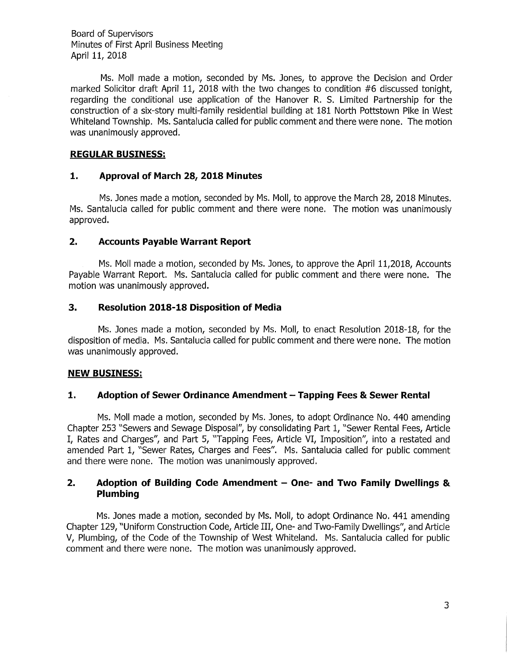Board of Supervisors Minutes of First April Business Meeting April 11, 2018

Ms. Moll made a motion, seconded by Ms. Jones, to approve the Decision and Order marked Solicitor draft April 11, 2018 with the two changes to condition #6 discussed tonight, regarding the conditional use application of the Hanover R. S. Limited Partnership for the construction of a six-story multi-family residential building at 181 North Pottstown Pike in West Whiteland Township. Ms. Santalucia called for public comment and there were none. The motion was unanimously approved.

## **REGULAR BUSINESS:**

## **1. Approval of March 28, 2018 Minutes**

Ms. Jones made a motion, seconded by Ms. Moll, to approve the March 28, 2018 Minutes. Ms. Santalucia called for public comment and there were none. The motion was unanimously approved.

## **2. Accounts Payable Warrant Report**

Ms. Moll made a motion, seconded by Ms. Jones, to approve the April 11,2018, Accounts Payable Warrant Report. Ms. Santalucia called for public comment and there were none. The motion was unanimously approved.

## **3. Resolution 2018-18 Disposition of Media**

Ms. Jones made a motion, seconded by Ms. Moll, to enact Resolution 2018-18, for the disposition of media. Ms. Santalucia called for public comment and there were none. The motion was unanimously approved.

### **NEW BUSINESS:**

# **1. Adoption of Sewer Ordinance Amendment - Tapping Fees & Sewer Rental**

Ms. Moll made a motion, seconded by Ms. Jones, to adopt Ordinance No. 440 amending Chapter 253 "Sewers and Sewage Disposal", by consolidating Part 1, "Sewer Rental Fees, Article I, Rates and Charges", and Part 5, "Tapping Fees, Article VI, Imposition", into a restated and amended Part 1, "Sewer Rates, Charges and Fees". Ms. Santalucia called for public comment and there were none. The motion was unanimously approved.

# **2. Adoption of Building Code Amendment - One- and Two Family Dwellings** & **Plumbing**

Ms. Jones made a motion, seconded by Ms. Moll, to adopt Ordinance No. 441 amending Chapter 129, "Uniform Construction Code, Article III, One- and Two-Family Dwellings", and Article V, Plumbing, of the Code of the Township of West Whiteland. Ms. Santalucia called for public comment and there were none. The motion was unanimously approved.